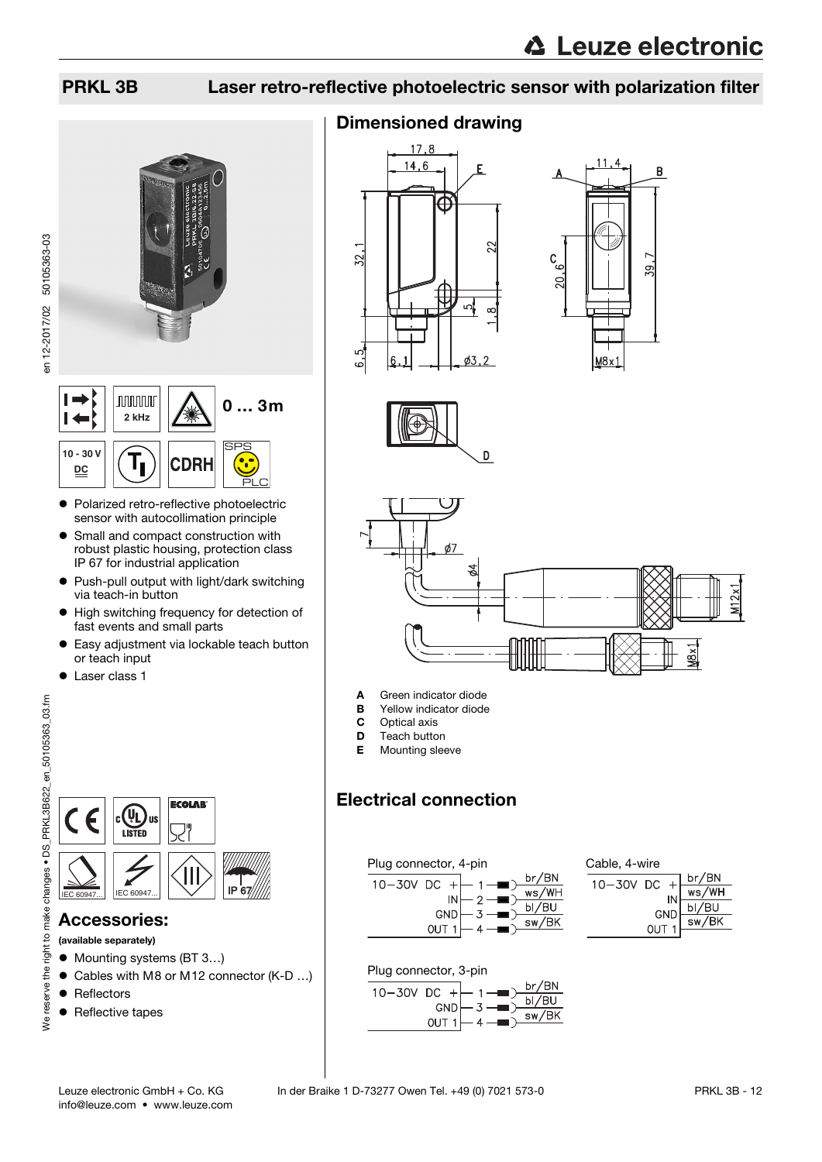



- Polarized retro-reflective photoelectric sensor with autocollimation principle
- **•** Small and compact construction with robust plastic housing, protection class IP 67 for industrial application
- Push-pull output with light/dark switching via teach-in button
- $\bullet$  High switching frequency for detection of fast events and small parts
- Easy adjustment via lockable teach button or teach input
- **•** Laser class 1



### Accessories:

(available separately)

- Mounting systems (BT 3...)
- Cables with M8 or M12 connector (K-D ...)
- Reflectors
- Reflective tapes

### Dimensioned drawing









- A Green indicator diode
- **B** Yellow indicator diode<br>**C** Optical axis
- **C** Optical axis<br>**D** Teach butto
- Teach button
- **E** Mounting sleeve

### Electrical connection



| Cable, 4-wire |                  |         |                                               |
|---------------|------------------|---------|-----------------------------------------------|
| 10-30V DC     |                  | $\perp$ | br/BN                                         |
|               |                  | IN      | ws/WH                                         |
|               |                  | GND     | $\frac{\frac{1}{\text{bI/BU}}}{\text{sw/BK}}$ |
|               | OUT <sub>1</sub> |         |                                               |
|               |                  |         |                                               |

Plug connector, 3-pin



en 12-2017/02 50105363-03

en 12-2017/02 50105363-03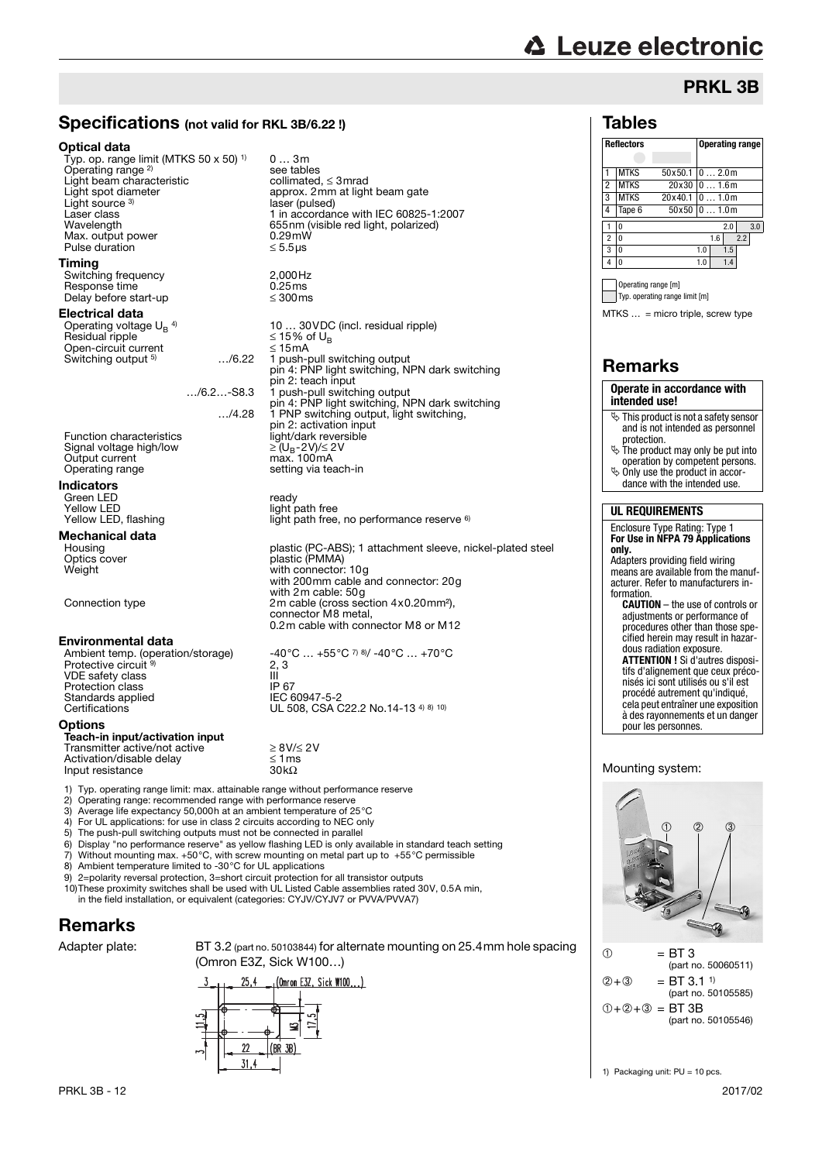# **△ Leuze electronic**

## PRKL 3B

### Specifications (not valid for RKL 3B/6.22 !)

0 … 3m

see tables<br>collimated,  $\leq$  3 mrad

laser (pulsed)

approx. 2mm at light beam gate

Wave Chamber 1.1.1.120 00020<br>655nm (visible red light, polarized)<br>0.29mW

10 ... 30 VDC (incl. residual ripple)  $\leq$  15% of U<sub>R</sub>

…/4.28 1 PNP switching output, light switching,

with 2m cable: 50g

connector M8 metal,

1 push-pull switching output pin 4: PNP light switching, NPN dark switching

light path free, no performance reserve 6)

0.2m cable with connector M8 or M12

UL 508, CSA C22.2 No.14-13 4) 8) 10)

#### Optical data

Typ. op. range limit (MTKS 50 x 50) 1) Operating range 2) Light beam characteristic<br>Light spot diameter Light source<sup>3</sup> Laser class **Laser class** 1 in accordance with IEC 60825-1:2007<br>Wavelength **1** in accordance with IEC 60825-1:2007 Max. output power  $0.29 \text{ mW}$ <br>Pulse duration  $\leq 5.5 \text{ }\mu\text{s}$ Pulse duration **Timing** 

Switching frequency  $2,000$  Hz<br>Response time  $0.25$  ms Response time  $0.25 \text{ ms}$ <br>Delay before start-up  $\leq 300 \text{ ms}$ Delay before start-up

#### Electrical data

Operating voltage UB 4) Residual ripple ≤ 15% of UB Open-circuit current ≤ 15mA Switching output <sup>5)</sup>

pin 2: teach input<br>1 push-pull switching output …./6.2…-S8.3 1<br>pin 4: PNP light switching, NPN dark switching

pin 2: activation input Function characteristics light/dark reversible Signal voltage high/low<br>Output current Output current max. 100mA<br>Operating range setting via teach-in

#### Indicators

Green LED<br>Yellow I FD Green LED<br>Yellow LED light path free<br>Yellow LED, flashing light path free.

### **Mechanical data**

Housing metal plastic (PC-ABS); 1 attachment sleeve, nickel-plated steel<br>Optics cover metal of plastic (PMMA) Optics cover plastic (PMMA) Weight with connector: 10g with 200mm cable and connector: 20g

Connection type 2m cable (cross section 4x0.20mm<sup>2</sup>),

#### Environmental data

Ambient temp. (operation/storage)  $\hspace{1cm}$  -40°C  $\ldots$  +55°C <sup>7) 8)</sup>/ -40°C  $\ldots$  +70°C Protective circuit 9) VDE safety class III Protection class IP 67 Standards applied IEC 60947-5-2<br>Certifications UL 508, CSA C

#### **Options**

#### Teach-in input/activation input Transmitter active/not active<br> $\geq 8V/\leq 2V$ <br>Activation/disable delay  $\leq 1$  ms  $\text{Activation}/\text{disable delay}$   $\leq 1 \text{ ms}$   $\leq 1 \text{ ms}$   $\leq 1 \text{ ms}$   $\leq 1 \text{ ms}$   $\leq 1 \text{ ms}$   $\leq 1 \text{ ms}$   $\leq 1 \text{ ms}$   $\leq 1 \text{ ms}$   $\leq 1 \text{ ms}$   $\leq 1 \text{ ms}$   $\leq 1 \text{ ms}$   $\leq 1 \text{ ms}$   $\leq 1 \text{ ms}$   $\leq 1 \text{ ms}$   $\leq 1 \text{ ms}$   $\leq 1 \text{$ Input resistance

- 1) Typ. operating range limit: max. attainable range without performance reserve<br>
2) Operating range: recommended range with performance reserve<br>
3) Average life expectancy 50,000h at an ambient temperature of  $25^{\circ}$ C 2) Operating range: recommended range with performance reserve
- 3) Average life expectancy 50,000h at an ambient temperature of 25°C
- 4) For UL applications: for use in class 2 circuits according to NEC only
- 5) The push-pull switching outputs must not be connected in parallel<br>6) Display "no performance reserve" as vellow flashing LED is only av 6) Display "no performance reserve" as yellow flashing LED is only available in standard teach setting 7) Without mounting max.  $+50^{\circ}$ C, with screw mounting on metal part up to  $+55^{\circ}$ C permissible

 $2, 3$ 

- 
- 7) Without mounting max.  $+50^{\circ}$ C, with screw mounting on metal part up to  $+55^{\circ}$ C permissible 8) Ambient temperature limited to -30 $^{\circ}$ C for UL applications Ambient temperature limited to -30°C for UL applications
- 
- 9) 2=polarity reversal protection, 3=short circuit protection for all transistor outputs 10)These proximity switches shall be used with UL Listed Cable assemblies rated 30V, 0.5A min, in the field installation, or equivalent (categories: CYJV/CYJV7 or PVVA/PVVA7)

### Remarks

Adapter plate: BT 3.2 (part no. 50103844) for alternate mounting on 25.4mm hole spacing (Omron E3Z, Sick W100…)



| .,<br>г. | ומו |  |
|----------|-----|--|
|          |     |  |

| <b>Reflectors</b> |             |                 |       | <b>Operating range</b> |       |     |     |  |  |  |
|-------------------|-------------|-----------------|-------|------------------------|-------|-----|-----|--|--|--|
|                   |             |                 |       |                        |       |     |     |  |  |  |
|                   | <b>MTKS</b> | 50x50.1         |       |                        | 02.0m |     |     |  |  |  |
| $\overline{2}$    | <b>MTKS</b> | 20x30           | 01.6m |                        |       |     |     |  |  |  |
| 3                 | <b>MTKS</b> | 20x40.1         |       |                        | 01.0m |     |     |  |  |  |
| 4                 | Tape 6      | $50x50$ 0  1.0m |       |                        |       |     |     |  |  |  |
|                   | n           |                 |       |                        | 2.0   |     | 3.0 |  |  |  |
| $\overline{c}$    | 0           |                 |       | 1.6                    |       | 2.2 |     |  |  |  |
| 3                 | 0           |                 | 1.0   |                        | 1.5   |     |     |  |  |  |
| 4                 | n           |                 | 1.0   |                        | 1.4   |     |     |  |  |  |
|                   |             |                 |       |                        |       |     |     |  |  |  |

Operating range [m] Typ. operating range limit [m]

MTKS … = micro triple, screw type

### Remarks

#### **Operate in accordance with intended use!**  $\ddot{\phi}$  This product is not a safety sensor

- and is not intended as personnel protection.
- $\&$  The product may only be put into operation by competent persons.
- $\ddot{\phi}$  Only use the product in accor-
- dance with the intended use.

#### **UL REQUIREMENTS**

#### Enclosure Type Rating: Type 1 **For Use in NFPA 79 Applications only.** Adapters providing field wiring means are available from the manuf-

acturer. Refer to manufacturers information. **CAUTION** – the use of controls or

adjustments or performance of procedures other than those specified herein may result in hazardous radiation exposure. **ATTENTION !** Si d'autres disposi-

tifs d'alignement que ceux préconisés ici sont utilisés ou s'il est procédé autrement qu'indiqué, cela peut entraîner une exposition à des rayonnements et un danger

#### Mounting system:

pour les personnes.



 $(2) + (3) = BT 3.11$ (part no. 50105585)  $(1 + 2) + 3 = 157.3B$ (part no. 50105546)

1) Packaging unit: PU = 10 pcs.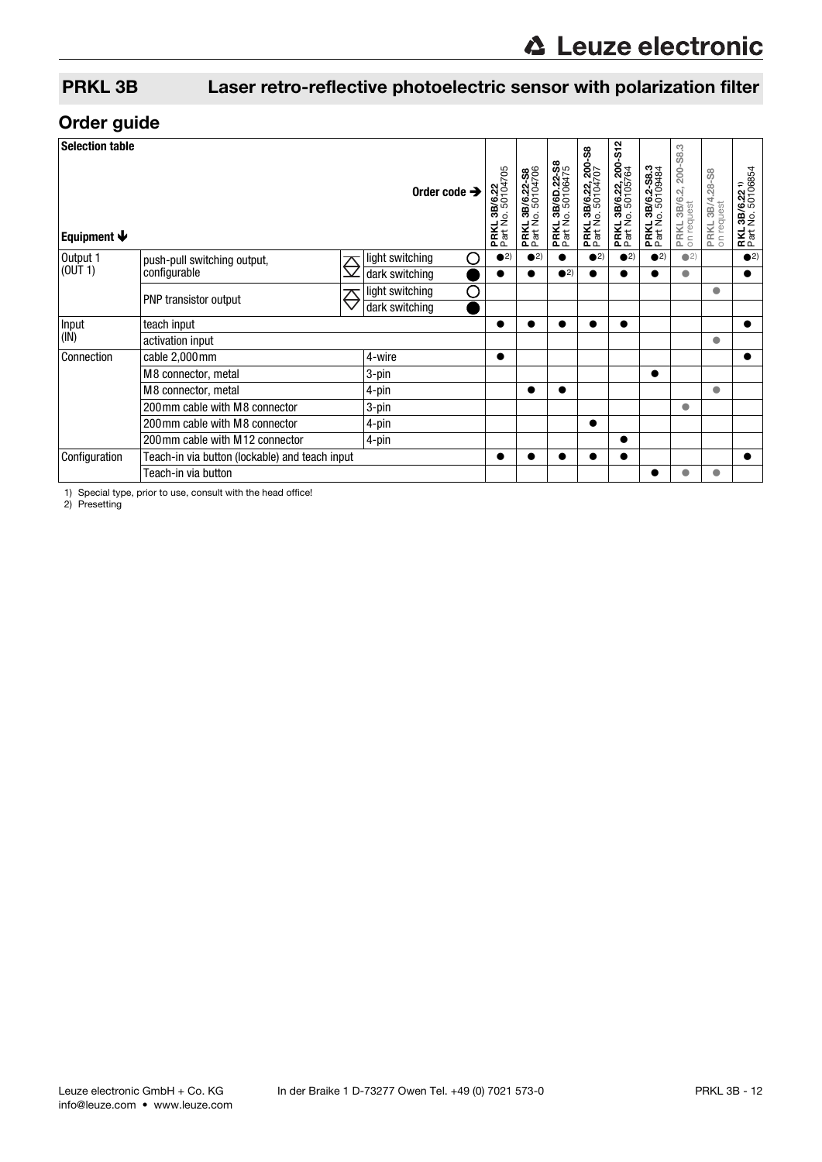### Order guide

| <b>Selection table</b><br>Equipment $\blacklozenge$   |                                                |                       | Order code $\rightarrow$ | .3B/6.22<br>lo.50104705<br>PRKL 3B<br>Part No. 1 | PRKL 3B/6.22-S8<br>Part No. 50104706 | <b>PRKL 3B/6D.22-S8</b><br>Part No. 50106475 | <b>PRKL 3B/6.22, 200-S8</b><br>Part No. 50104707 | <b>PRKL 3B/6.22, 200-S12</b><br>Part No. 50105764 | PRKL 3B/6.2-S8.3<br>Part No. 50109484<br>Part No. | PRKL 3B/6.2, 200-S8.3<br>on request | 3<br>PRKL 3B/4.28-<br>on request | .3B/6.22 <sup>1)</sup><br>No.50106854<br><b>RKL</b> |
|-------------------------------------------------------|------------------------------------------------|-----------------------|--------------------------|--------------------------------------------------|--------------------------------------|----------------------------------------------|--------------------------------------------------|---------------------------------------------------|---------------------------------------------------|-------------------------------------|----------------------------------|-----------------------------------------------------|
| Output 1                                              | push-pull switching output,                    | $\overline{\bigcirc}$ | light switching<br>С     | $\bullet$ <sup>2)</sup>                          | $\bullet$ <sup>2)</sup>              | $\bullet$                                    | $\bullet$ <sup>2)</sup>                          | $\bullet$ <sup>2)</sup>                           | $\bullet$ <sup>2)</sup>                           | $\bigcirc$ 2)                       |                                  | $\bullet$ <sup>2)</sup>                             |
| (OUT 1)                                               | configurable                                   |                       | dark switching           | $\bullet$                                        |                                      | $\bullet$ <sup>2)</sup>                      |                                                  |                                                   |                                                   | $\bullet$                           |                                  | $\bullet$                                           |
|                                                       | PNP transistor output                          | ♡                     | O<br>light switching     |                                                  |                                      |                                              |                                                  |                                                   |                                                   |                                     | $\bullet$                        |                                                     |
|                                                       |                                                |                       | dark switching           |                                                  |                                      |                                              |                                                  |                                                   |                                                   |                                     |                                  |                                                     |
| Input                                                 | teach input                                    |                       |                          |                                                  |                                      |                                              | $\bullet$                                        |                                                   |                                                   |                                     |                                  |                                                     |
| (IN)<br>activation input                              |                                                |                       |                          |                                                  |                                      |                                              |                                                  |                                                   |                                                   | $\bullet$                           |                                  |                                                     |
| Connection                                            | cable 2,000 mm                                 |                       | 4-wire                   | $\bullet$                                        |                                      |                                              |                                                  |                                                   |                                                   |                                     |                                  |                                                     |
|                                                       | M8 connector, metal                            |                       | 3-pin                    |                                                  |                                      |                                              |                                                  |                                                   | $\bullet$                                         |                                     |                                  |                                                     |
| M8 connector, metal<br>200 mm cable with M8 connector |                                                |                       | 4-pin                    |                                                  |                                      | $\bullet$                                    |                                                  |                                                   |                                                   |                                     | $\bullet$                        |                                                     |
|                                                       |                                                | 3-pin                 |                          |                                                  |                                      |                                              |                                                  |                                                   | $\bullet$                                         |                                     |                                  |                                                     |
|                                                       | 200 mm cable with M8 connector                 |                       | 4-pin                    |                                                  |                                      |                                              |                                                  |                                                   |                                                   |                                     |                                  |                                                     |
|                                                       | 200 mm cable with M12 connector                |                       | 4-pin                    |                                                  |                                      |                                              |                                                  | $\bullet$                                         |                                                   |                                     |                                  |                                                     |
| Configuration                                         | Teach-in via button (lockable) and teach input |                       |                          |                                                  |                                      |                                              |                                                  |                                                   |                                                   |                                     |                                  |                                                     |
|                                                       | Teach-in via button                            |                       |                          |                                                  |                                      |                                              |                                                  |                                                   |                                                   |                                     | $\bullet$                        |                                                     |

1) Special type, prior to use, consult with the head office! 2) Presetting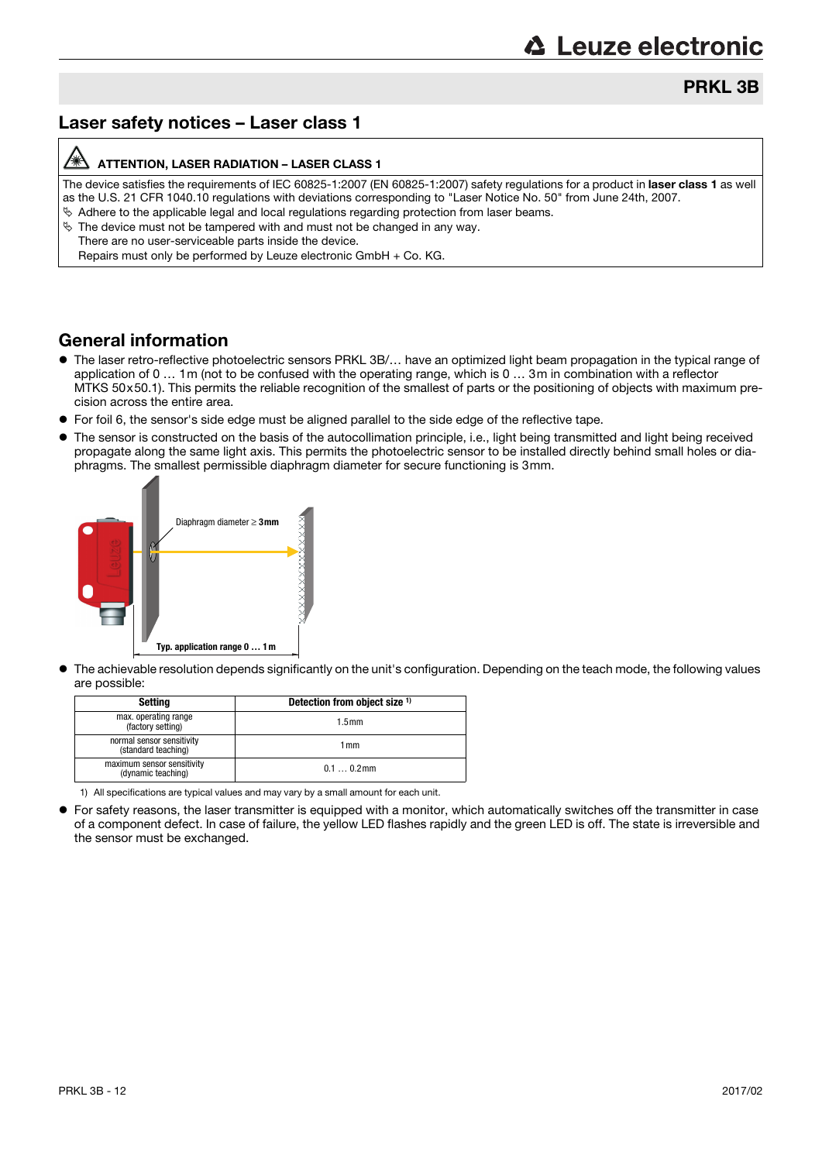### PRKL 3B

### Laser safety notices – Laser class 1

#### /A ATTENTION, LASER RADIATION – LASER CLASS 1

The device satisfies the requirements of IEC 60825-1:2007 (EN 60825-1:2007) safety regulations for a product in laser class 1 as well as the U.S. 21 CFR 1040.10 regulations with deviations corresponding to "Laser Notice No. 50" from June 24th, 2007.  $\&$  Adhere to the applicable legal and local regulations regarding protection from laser beams.

- $\%$  The device must not be tampered with and must not be changed in any way.
	- There are no user-serviceable parts inside the device.
	- Repairs must only be performed by Leuze electronic GmbH + Co. KG.

#### General information

- The laser retro-reflective photoelectric sensors PRKL 3B/… have an optimized light beam propagation in the typical range of application of 0 … 1m (not to be confused with the operating range, which is 0 … 3m in combination with a reflector MTKS 50x50.1). This permits the reliable recognition of the smallest of parts or the positioning of objects with maximum precision across the entire area.
- For foil 6, the sensor's side edge must be aligned parallel to the side edge of the reflective tape.
- The sensor is constructed on the basis of the autocollimation principle, i.e., light being transmitted and light being received propagate along the same light axis. This permits the photoelectric sensor to be installed directly behind small holes or diaphragms. The smallest permissible diaphragm diameter for secure functioning is 3mm.



 The achievable resolution depends significantly on the unit's configuration. Depending on the teach mode, the following values are possible:

| Settina                                          | Detection from object size 1) |
|--------------------------------------------------|-------------------------------|
| max. operating range<br>(factory setting)        | 1.5 <sub>mm</sub>             |
| normal sensor sensitivity<br>(standard teaching) | 1 mm                          |
| maximum sensor sensitivity<br>(dynamic teaching) | $0.10.2$ mm                   |

1) All specifications are typical values and may vary by a small amount for each unit.

 For safety reasons, the laser transmitter is equipped with a monitor, which automatically switches off the transmitter in case of a component defect. In case of failure, the yellow LED flashes rapidly and the green LED is off. The state is irreversible and the sensor must be exchanged.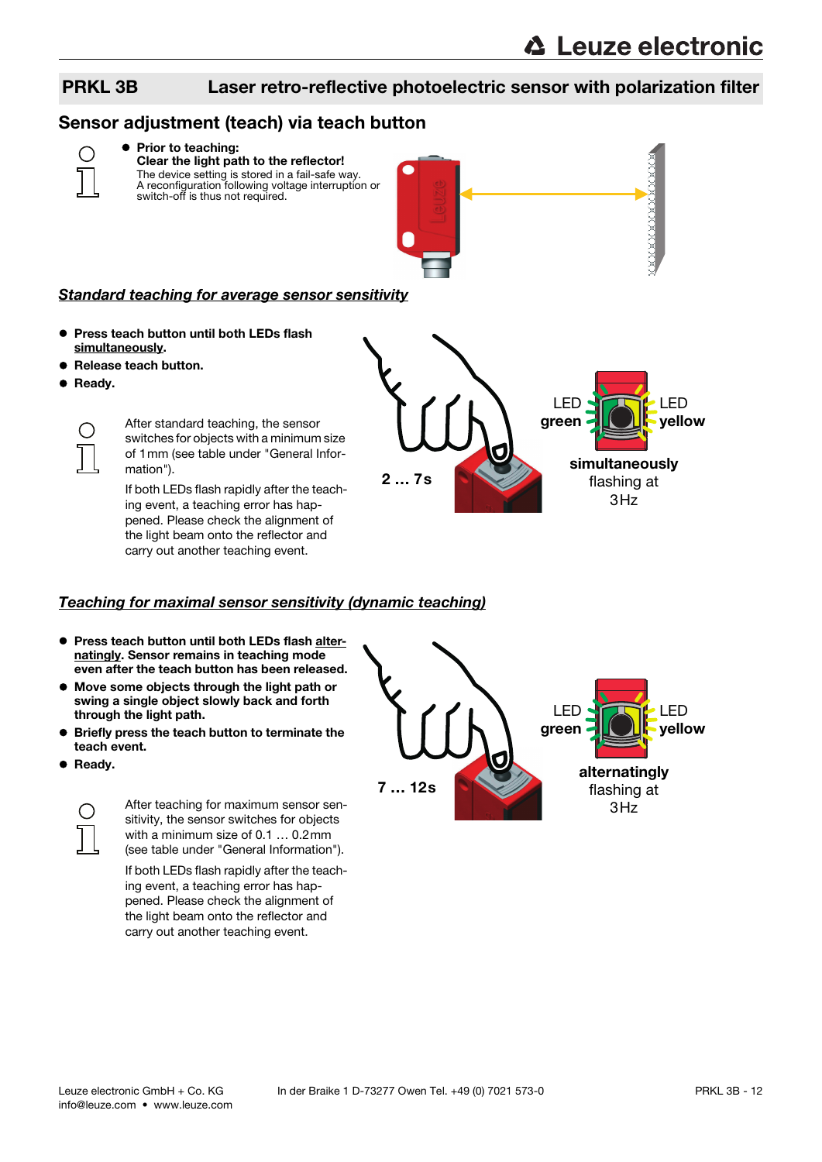### Sensor adjustment (teach) via teach button



#### **• Prior to teaching:** Clear the light path to the reflector!

The device setting is stored in a fail-safe way. A reconfiguration following voltage interruption or switch-off is thus not required.



#### Standard teaching for average sensor sensitivity

- **Press teach button until both LEDs flash** simultaneously.
- Release teach button.
- Ready.



After standard teaching, the sensor switches for objects with a minimum size of 1mm (see table under "General Information").

If both LEDs flash rapidly after the teaching event, a teaching error has happened. Please check the alignment of the light beam onto the reflector and carry out another teaching event.

2 … 7s simultaneously flashing at  $3H<sub>z</sub>$ LED green LED yellow

#### Teaching for maximal sensor sensitivity (dynamic teaching)

- **Press teach button until both LEDs flash alter**natingly. Sensor remains in teaching mode even after the teach button has been released.
- Move some objects through the light path or swing a single object slowly back and forth through the light path.
- Briefly press the teach button to terminate the teach event.
- **•** Ready.



After teaching for maximum sensor sensitivity, the sensor switches for objects with a minimum size of 0.1 … 0.2mm (see table under "General Information").

If both LEDs flash rapidly after the teaching event, a teaching error has happened. Please check the alignment of the light beam onto the reflector and carry out another teaching event.

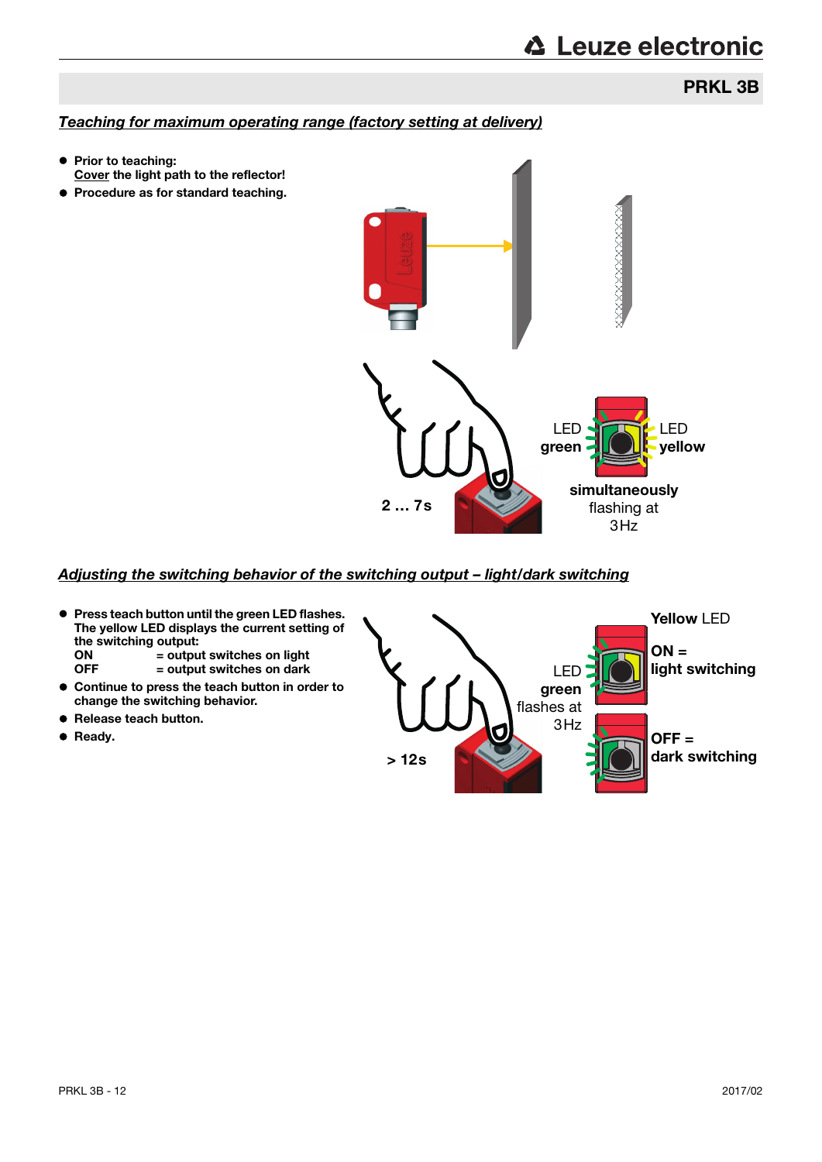## **△ Leuze electronic**

### PRKL 3B

#### Teaching for maximum operating range (factory setting at delivery)

- Prior to teaching: Cover the light path to the reflector!
- **Procedure as for standard teaching.**



#### Adjusting the switching behavior of the switching output – light/dark switching

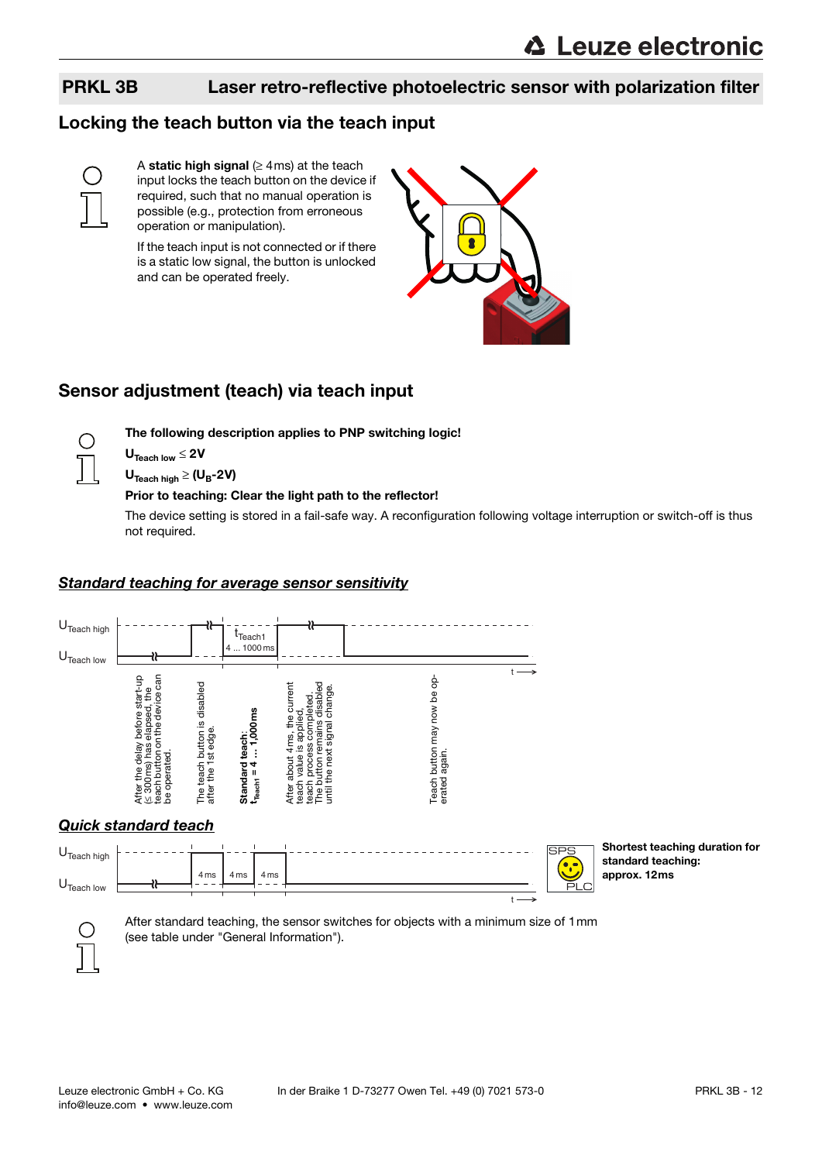### Locking the teach button via the teach input



⊖

A static high signal ( $\geq$  4ms) at the teach input locks the teach button on the device if required, such that no manual operation is possible (e.g., protection from erroneous operation or manipulation).

If the teach input is not connected or if there is a static low signal, the button is unlocked and can be operated freely.



### Sensor adjustment (teach) via teach input

The following description applies to PNP switching logic!

 $U_{\text{Teach low}} \leq 2V$ 

 $U_{\text{Teach hidh}} \geq (U_B - 2V)$ 

#### Prior to teaching: Clear the light path to the reflector!

The device setting is stored in a fail-safe way. A reconfiguration following voltage interruption or switch-off is thus not required.

#### Standard teaching for average sensor sensitivity

4 ms

4 ms 4 ms





t

Shortest teaching duration for standard teaching: approx. 12ms



U<sub>Teach</sub> low

After standard teaching, the sensor switches for objects with a minimum size of 1mm (see table under "General Information").